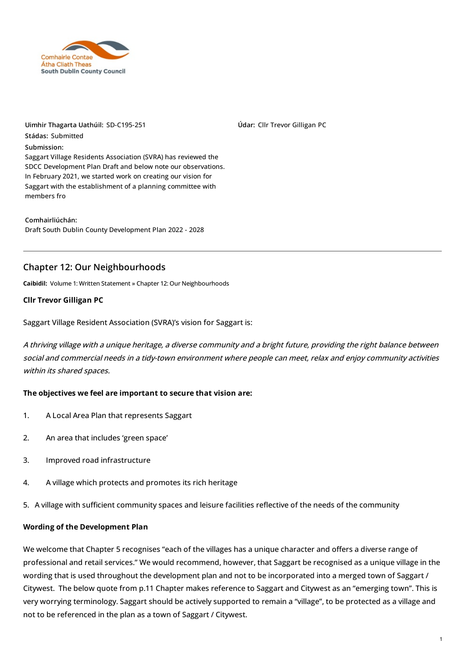

**Uimhir Thagarta Uathúil:** SD-C195-251 **Stádas:** Submitted **Submission:** Saggart Village Residents Association (SVRA) has reviewed the SDCC Development Plan Draft and below note our observations. In February 2021, we started work on creating our vision for Saggart with the [establishment](https://consult.sdublincoco.ie/ga/node/7088) of a planning committee with members fro

**Comhairliúchán:** Draft South Dublin County [Development](https://consult.sdublincoco.ie/ga/consultation/draft-south-dublin-county-development-plan-2022-2028) Plan 2022 - 2028

# **Chapter 12: Our Neighbourhoods**

**Caibidil:** Volume 1: Written [Statement](https://consult.sdublincoco.ie/ga/consultation/draft-south-dublin-county-development-plan-2022-2028/chapter/volume-1-written-statement) » Chapter 12: Our [Neighbourhoods](https://consult.sdublincoco.ie/ga/consultation/draft-south-dublin-county-development-plan-2022-2028/chapter/chapter-12-our-neighbourhoods)

#### **Cllr Trevor Gilligan PC**

Saggart Village Resident Association (SVRA)'s vision for Saggart is:

A thriving village with <sup>a</sup> unique heritage, <sup>a</sup> diverse community and <sup>a</sup> bright future, providing the right balance between social and commercial needs in <sup>a</sup> tidy-town environment where people can meet, relax and enjoy community activities within its shared spaces.

**Údar:** Cllr Trevor Gilligan PC

#### **The objectives we feel are important to secure that vision are:**

- 1. A Local Area Plan that represents Saggart
- 2. An area that includes 'green space'
- 3. Improved road infrastructure
- 4. A village which protects and promotes its rich heritage
- 5. A village with sufficient community spaces and leisure facilities reflective of the needs of the community

#### **Wording of the Development Plan**

We welcome that Chapter 5 recognises "each of the villages has a unique character and offers a diverse range of professional and retail services." We would recommend, however, that Saggart be recognised as a unique village in the wording that is used throughout the development plan and not to be incorporated into a merged town of Saggart / Citywest. The below quote from p.11 Chapter makes reference to Saggart and Citywest as an "emerging town". This is very worrying terminology. Saggart should be actively supported to remain a "village", to be protected as a village and not to be referenced in the plan as a town of Saggart / Citywest.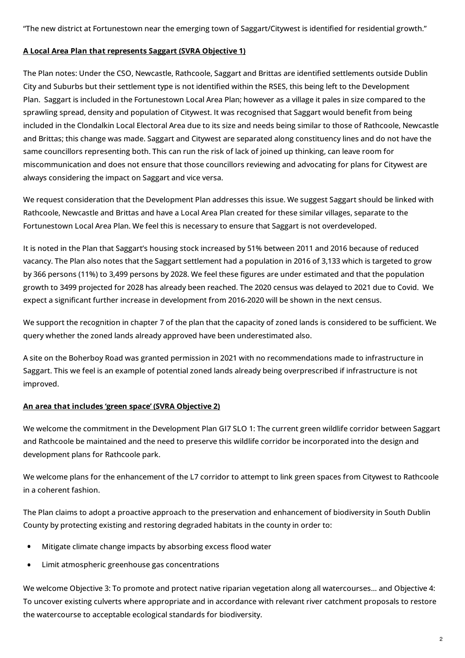"The new district at Fortunestown near the emerging town of Saggart/Citywest is identified for residential growth."

### **A Local Area Plan that represents Saggart (SVRA Objective 1)**

The Plan notes: Under the CSO, Newcastle, Rathcoole, Saggart and Brittas are identified settlements outside Dublin City and Suburbs but their settlement type is not identified within the RSES, this being left to the Development Plan. Saggart is included in the Fortunestown Local Area Plan; however as a village it pales in size compared to the sprawling spread, density and population of Citywest. It was recognised that Saggart would benefit from being included in the Clondalkin Local Electoral Area due to its size and needs being similar to those of Rathcoole, Newcastle and Brittas; this change was made. Saggart and Citywest are separated along constituency lines and do not have the same councillors representing both. This can run the risk of lack of joined up thinking, can leave room for miscommunication and does not ensure that those councillors reviewing and advocating for plans for Citywest are always considering the impact on Saggart and vice versa.

We request consideration that the Development Plan addresses this issue. We suggest Saggart should be linked with Rathcoole, Newcastle and Brittas and have a Local Area Plan created for these similar villages, separate to the Fortunestown Local Area Plan. We feel this is necessary to ensure that Saggart is not overdeveloped.

It is noted in the Plan that Saggart's housing stock increased by 51% between 2011 and 2016 because of reduced vacancy. The Plan also notes that the Saggart settlement had a population in 2016 of 3,133 which is targeted to grow by 366 persons (11%) to 3,499 persons by 2028. We feel these figures are under estimated and that the population growth to 3499 projected for 2028 has already been reached. The 2020 census was delayed to 2021 due to Covid. We expect a significant further increase in development from 2016-2020 will be shown in the next census.

We support the recognition in chapter 7 of the plan that the capacity of zoned lands is considered to be sufficient. We query whether the zoned lands already approved have been underestimated also.

A site on the Boherboy Road was granted permission in 2021 with no recommendations made to infrastructure in Saggart. This we feel is an example of potential zoned lands already being overprescribed if infrastructure is not improved.

# **An area that includes 'green space' (SVRA Objective 2)**

We welcome the commitment in the Development Plan GI7 SLO 1: The current green wildlife corridor between Saggart and Rathcoole be maintained and the need to preserve this wildlife corridor be incorporated into the design and development plans for Rathcoole park.

We welcome plans for the enhancement of the L7 corridor to attempt to link green spaces from Citywest to Rathcoole in a coherent fashion.

The Plan claims to adopt a proactive approach to the preservation and enhancement of biodiversity in South Dublin County by protecting existing and restoring degraded habitats in the county in order to:

- Mitigate climate change impacts by absorbing excess flood water
- **•** Limit atmospheric greenhouse gas concentrations

We welcome Objective 3: To promote and protect native riparian vegetation along all watercourses… and Objective 4: To uncover existing culverts where appropriate and in accordance with relevant river catchment proposals to restore the watercourse to acceptable ecological standards for biodiversity.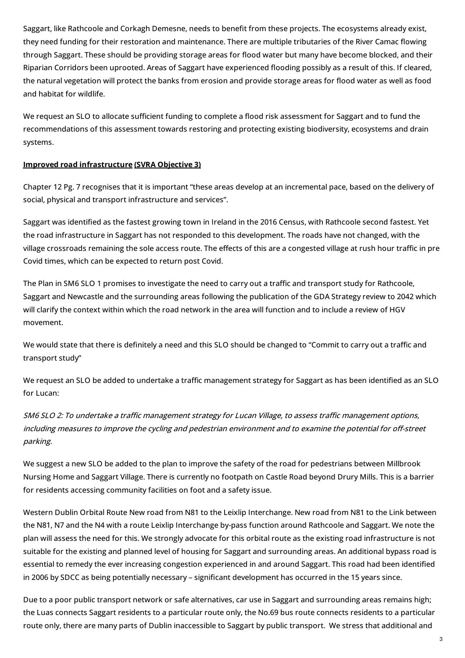Saggart, like Rathcoole and Corkagh Demesne, needs to benefit from these projects. The ecosystems already exist, they need funding for their restoration and maintenance. There are multiple tributaries of the River Camac flowing through Saggart. These should be providing storage areas for flood water but many have become blocked, and their Riparian Corridors been uprooted. Areas of Saggart have experienced flooding possibly as a result of this. If cleared, the natural vegetation will protect the banks from erosion and provide storage areas for flood water as well as food and habitat for wildlife.

We request an SLO to allocate sufficient funding to complete a flood risk assessment for Saggart and to fund the recommendations of this assessment towards restoring and protecting existing biodiversity, ecosystems and drain systems.

### **Improved road infrastructure (SVRA Objective 3)**

Chapter 12 Pg. 7 recognises that it is important "these areas develop at an incremental pace, based on the delivery of social, physical and transport infrastructure and services".

Saggart was identified as the fastest growing town in Ireland in the 2016 Census, with Rathcoole second fastest. Yet the road infrastructure in Saggart has not responded to this development. The roads have not changed, with the village crossroads remaining the sole access route. The effects of this are a congested village at rush hour traffic in pre Covid times, which can be expected to return post Covid.

The Plan in SM6 SLO 1 promises to investigate the need to carry out a traffic and transport study for Rathcoole, Saggart and Newcastle and the surrounding areas following the publication of the GDA Strategy review to 2042 which will clarify the context within which the road network in the area will function and to include a review of HGV movement.

We would state that there is definitely a need and this SLO should be changed to "Commit to carry out a traffic and transport study"

We request an SLO be added to undertake a traffic management strategy for Saggart as has been identified as an SLO for Lucan:

SM6 SLO 2: To undertake a traffic management strategy for Lucan Village, to assess traffic management options, including measures to improve the cycling and pedestrian environment and to examine the potential for off-street parking.

We suggest a new SLO be added to the plan to improve the safety of the road for pedestrians between Millbrook Nursing Home and Saggart Village. There is currently no footpath on Castle Road beyond Drury Mills. This is a barrier for residents accessing community facilities on foot and a safety issue.

Western Dublin Orbital Route New road from N81 to the Leixlip Interchange. New road from N81 to the Link between the N81, N7 and the N4 with a route Leixlip Interchange by-pass function around Rathcoole and Saggart. We note the plan will assess the need for this. We strongly advocate for this orbital route as the existing road infrastructure is not suitable for the existing and planned level of housing for Saggart and surrounding areas. An additional bypass road is essential to remedy the ever increasing congestion experienced in and around Saggart. This road had been identified in 2006 by SDCC as being potentially necessary – significant development has occurred in the 15 years since.

Due to a poor public transport network or safe alternatives, car use in Saggart and surrounding areas remains high; the Luas connects Saggart residents to a particular route only, the No.69 bus route connects residents to a particular route only, there are many parts of Dublin inaccessible to Saggart by public transport. We stress that additional and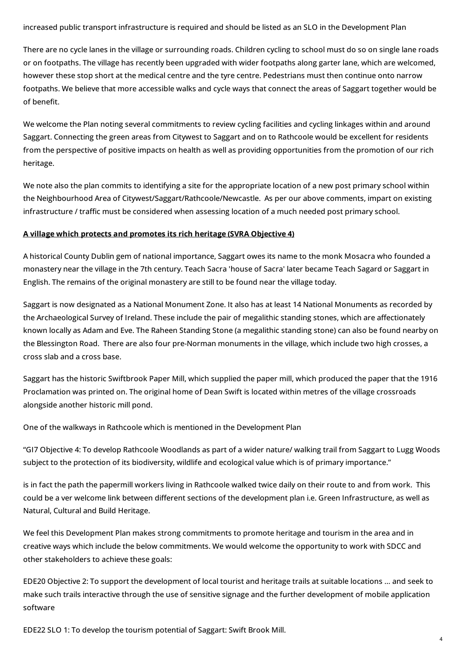increased public transport infrastructure is required and should be listed as an SLO in the Development Plan

There are no cycle lanes in the village or surrounding roads. Children cycling to school must do so on single lane roads or on footpaths. The village has recently been upgraded with wider footpaths along garter lane, which are welcomed, however these stop short at the medical centre and the tyre centre. Pedestrians must then continue onto narrow footpaths. We believe that more accessible walks and cycle ways that connect the areas of Saggart together would be of henefit

We welcome the Plan noting several commitments to review cycling facilities and cycling linkages within and around Saggart. Connecting the green areas from Citywest to Saggart and on to Rathcoole would be excellent for residents from the perspective of positive impacts on health as well as providing opportunities from the promotion of our rich heritage.

We note also the plan commits to identifying a site for the appropriate location of a new post primary school within the Neighbourhood Area of Citywest/Saggart/Rathcoole/Newcastle. As per our above comments, impart on existing infrastructure / traffic must be considered when assessing location of a much needed post primary school.

### **A village which protects and promotes its rich heritage (SVRA Objective 4)**

A historical County Dublin gem of national importance, Saggart owes its name to the monk Mosacra who founded a monastery near the village in the 7th century. Teach Sacra 'house of Sacra' later became Teach Sagard or Saggart in English. The remains of the original monastery are still to be found near the village today.

Saggart is now designated as a National Monument Zone. It also has at least 14 National Monuments as recorded by the Archaeological Survey of Ireland. These include the pair of megalithic standing stones, which are affectionately known locally as Adam and Eve. The Raheen Standing Stone (a megalithic standing stone) can also be found nearby on the Blessington Road. There are also four pre-Norman monuments in the village, which include two high crosses, a cross slab and a cross base.

Saggart has the historic Swiftbrook Paper Mill, which supplied the paper mill, which produced the paper that the 1916 Proclamation was printed on. The original home of Dean Swift is located within metres of the village crossroads alongside another historic mill pond.

One of the walkways in Rathcoole which is mentioned in the Development Plan

"GI7 Objective 4: To develop Rathcoole Woodlands as part of a wider nature/ walking trail from Saggart to Lugg Woods subject to the protection of its biodiversity, wildlife and ecological value which is of primary importance."

is in fact the path the papermill workers living in Rathcoole walked twice daily on their route to and from work. This could be a ver welcome link between different sections of the development plan i.e. Green Infrastructure, as well as Natural, Cultural and Build Heritage.

We feel this Development Plan makes strong commitments to promote heritage and tourism in the area and in creative ways which include the below commitments. We would welcome the opportunity to work with SDCC and other stakeholders to achieve these goals:

EDE20 Objective 2: To support the development of local tourist and heritage trails at suitable locations … and seek to make such trails interactive through the use of sensitive signage and the further development of mobile application software

EDE22 SLO 1: To develop the tourism potential of Saggart: Swift Brook Mill.